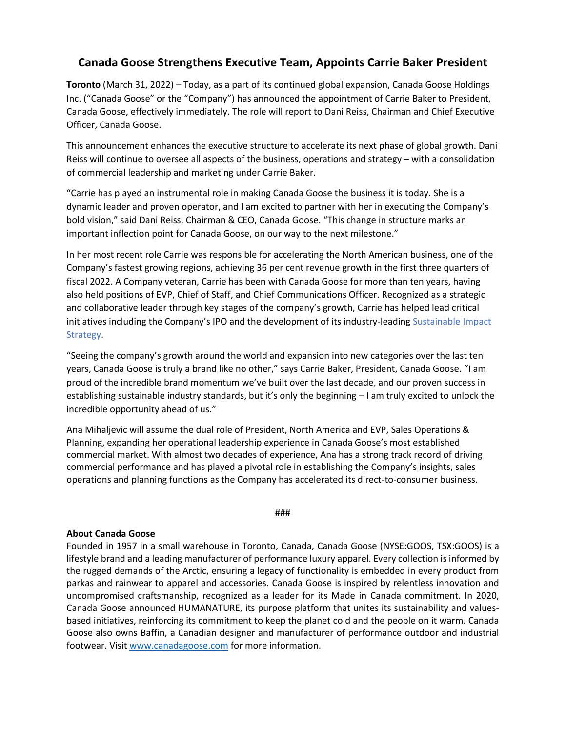## **Canada Goose Strengthens Executive Team, Appoints Carrie Baker President**

**Toronto** (March 31, 2022) – Today, as a part of its continued global expansion, Canada Goose Holdings Inc. ("Canada Goose" or the "Company") has announced the appointment of Carrie Baker to President, Canada Goose, effectively immediately. The role will report to Dani Reiss, Chairman and Chief Executive Officer, Canada Goose.

This announcement enhances the executive structure to accelerate its next phase of global growth. Dani Reiss will continue to oversee all aspects of the business, operations and strategy – with a consolidation of commercial leadership and marketing under Carrie Baker.

"Carrie has played an instrumental role in making Canada Goose the business it is today. She is a dynamic leader and proven operator, and I am excited to partner with her in executing the Company's bold vision," said Dani Reiss, Chairman & CEO, Canada Goose. "This change in structure marks an important inflection point for Canada Goose, on our way to the next milestone."

In her most recent role Carrie was responsible for accelerating the North American business, one of the Company's fastest growing regions, achieving 36 per cent revenue growth in the first three quarters of fiscal 2022. A Company veteran, Carrie has been with Canada Goose for more than ten years, having also held positions of EVP, Chief of Staff, and Chief Communications Officer. Recognized as a strategic and collaborative leader through key stages of the company's growth, Carrie has helped lead critical initiatives including the Company's IPO and the development of its industry-leadin[g Sustainable Impact](https://c212.net/c/link/?t=0&l=en&o=2831705-1&h=3994935603&u=https%3A%2F%2Fwww.canadagoose.com%2Fca%2Fen%2Fsustainability.html&a=Sustainable+Impact+Strategy)  [Strategy.](https://c212.net/c/link/?t=0&l=en&o=2831705-1&h=3994935603&u=https%3A%2F%2Fwww.canadagoose.com%2Fca%2Fen%2Fsustainability.html&a=Sustainable+Impact+Strategy)

"Seeing the company's growth around the world and expansion into new categories over the last ten years, Canada Goose is truly a brand like no other," says Carrie Baker, President, Canada Goose. "I am proud of the incredible brand momentum we've built over the last decade, and our proven success in establishing sustainable industry standards, but it's only the beginning – I am truly excited to unlock the incredible opportunity ahead of us."

Ana Mihaljevic will assume the dual role of President, North America and EVP, Sales Operations & Planning, expanding her operational leadership experience in Canada Goose's most established commercial market. With almost two decades of experience, Ana has a strong track record of driving commercial performance and has played a pivotal role in establishing the Company's insights, sales operations and planning functions as the Company has accelerated its direct-to-consumer business.

###

## **About Canada Goose**

Founded in 1957 in a small warehouse in Toronto, Canada, Canada Goose (NYSE:GOOS, TSX:GOOS) is a lifestyle brand and a leading manufacturer of performance luxury apparel. Every collection is informed by the rugged demands of the Arctic, ensuring a legacy of functionality is embedded in every product from parkas and rainwear to apparel and accessories. Canada Goose is inspired by relentless innovation and uncompromised craftsmanship, recognized as a leader for its Made in Canada commitment. In 2020, Canada Goose announced HUMANATURE, its purpose platform that unites its sustainability and valuesbased initiatives, reinforcing its commitment to keep the planet cold and the people on it warm. Canada Goose also owns Baffin, a Canadian designer and manufacturer of performance outdoor and industrial footwear. Visit [www.canadagoose.com](https://c212.net/c/link/?t=0&l=en&o=3082988-1&h=2110140606&u=http%3A%2F%2Fwww.canadagoose.com%2F&a=www.canadagoose.com) for more information.